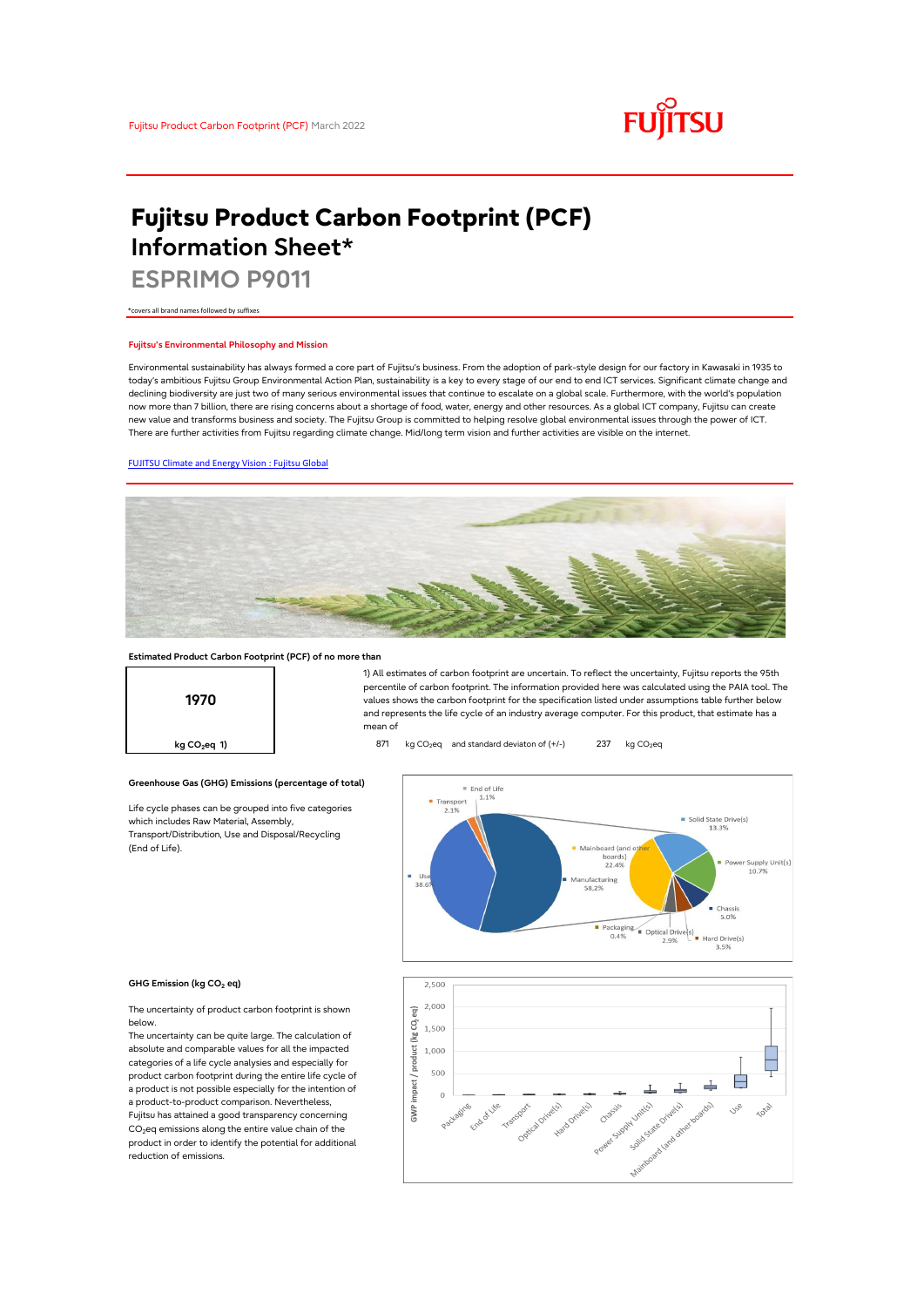

# **Fujitsu Product Carbon Footprint (PCF) Information Sheet\***

**ESPRIMO P9011**

\*covers all brand names followed by suffixes

## **Fujitsu's Environmental Philosophy and Mission**

Environmental sustainability has always formed a core part of Fujitsu's business. From the adoption of park-style design for our factory in Kawasaki in 1935 to today's ambitious Fujitsu Group Environmental Action Plan, sustainability is a key to every stage of our end to end ICT services. Significant climate change and declining biodiversity are just two of many serious environmental issues that continue to escalate on a global scale. Furthermore, with the world's population now more than 7 billion, there are rising concerns about a shortage of food, water, energy and other resources. As a global ICT company, Fujitsu can create new value and transforms business and society. The Fujitsu Group is committed to helping resolve global environmental issues through the power of ICT. There are further activities from Fujitsu regarding climate change. Mid/long term vision and further activities are visible on the internet.

## [FUJITSU Climate and Energy Vision : Fujitsu Global](https://www.fujitsu.com/global/about/environment/climate-energy-vision/)



# **Estimated Product Carbon Footprint (PCF) of no more than**

**Greenhouse Gas (GHG) Emissions (percentage of total)**

Life cycle phases can be grouped into five categories

which includes Raw Material, Assembly, Transport/Distribution, Use and Disposal/Recycling



1) All estimates of carbon footprint are uncertain. To reflect the uncertainty, Fujitsu reports the 95th percentile of carbon footprint. The information provided here was calculated using the PAIA tool. The values shows the carbon footprint for the specification listed under assumptions table further below and represents the life cycle of an industry average computer. For this product, that estimate has a mean of

**kg CO<sub>2</sub>eq 1) b** 871 kg CO<sub>2</sub>eq and standard deviaton of (+/-) 237 kg CO<sub>2</sub>eq



#### **GHG Emission (kg CO<sup>2</sup> eq)**

(End of Life).

reduction of emissions.

The uncertainty of product carbon footprint is shown below.

The uncertainty can be quite large. The calculation of absolute and comparable values for all the impacted categories of a life cycle analysies and especially for product carbon footprint during the entire life cycle of a product is not possible especially for the intention of a product-to-product comparison. Nevertheless, Fujitsu has attained a good transparency concerning CO<sub>2</sub>eq emissions along the entire value chain of the product in order to identify the potential for additional